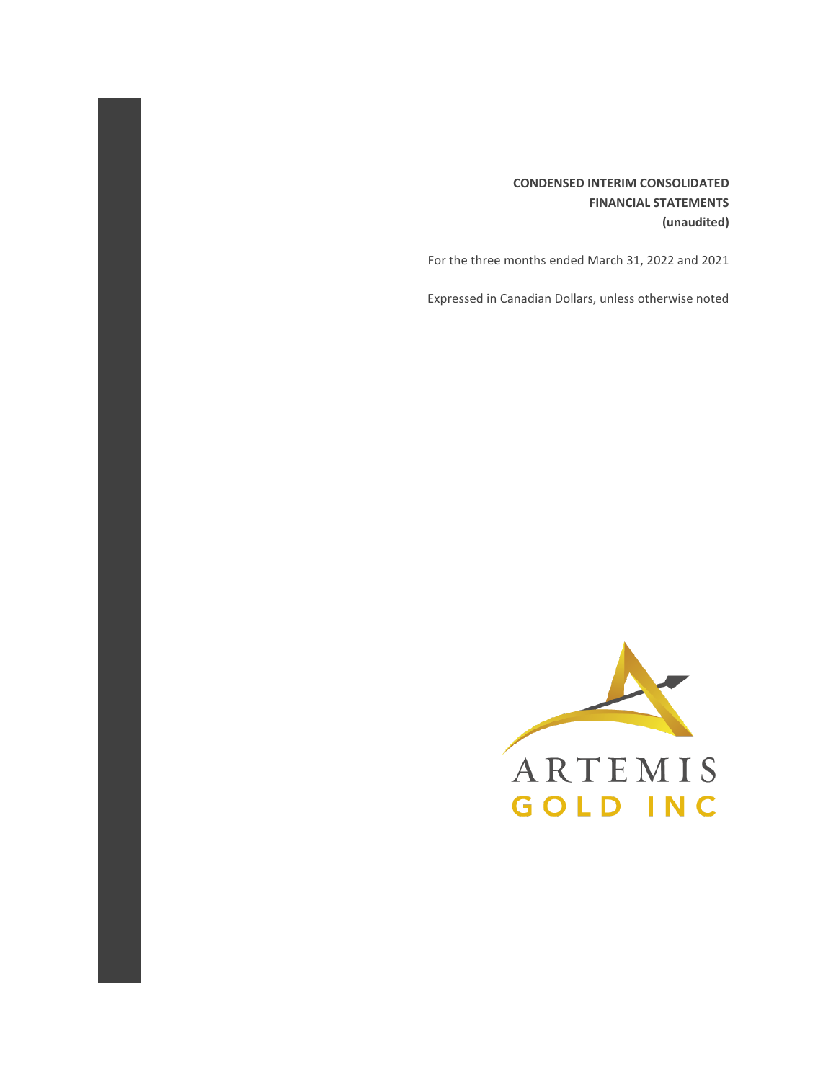## **CONDENSED INTERIM CONSOLIDATED FINANCIAL STATEMENTS (unaudited)**

For the three months ended March 31, 2022 and 2021

Expressed in Canadian Dollars, unless otherwise noted

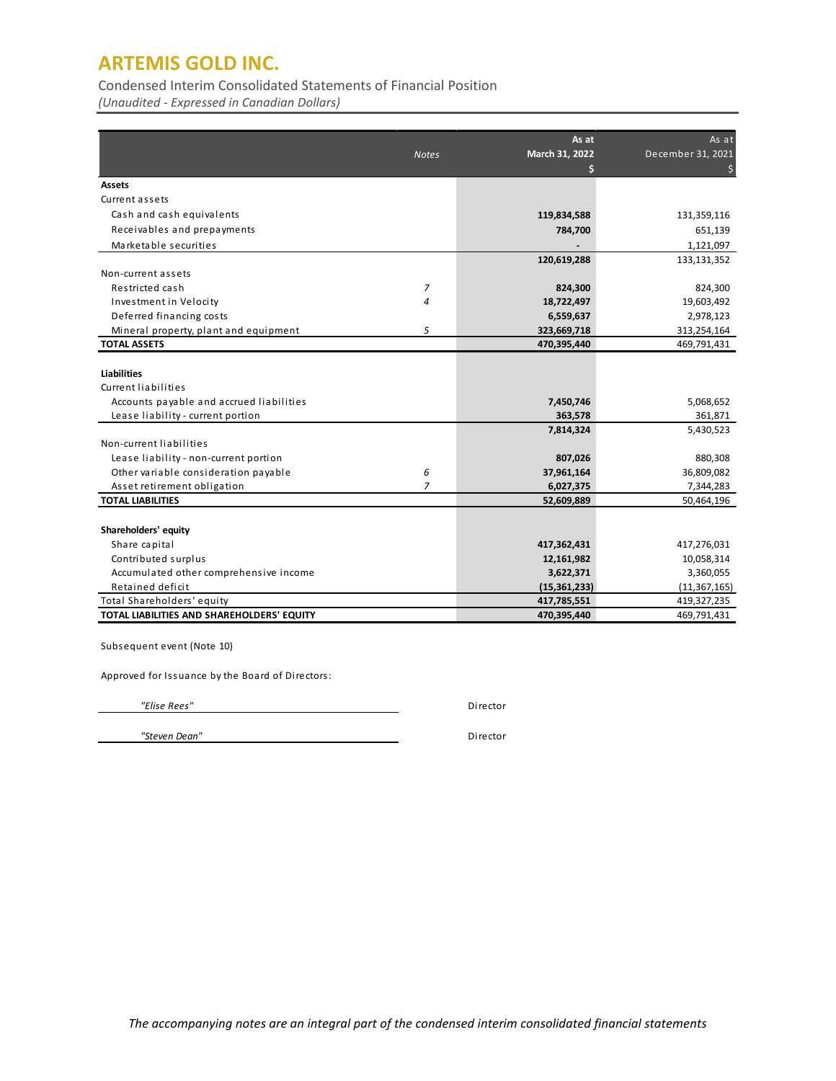Condensed Interim Consolidated Statements of Financial Position

*(Unaudited - Expressed in Canadian Dollars)*

|                                            | As at          |                     | As at             |
|--------------------------------------------|----------------|---------------------|-------------------|
|                                            | <b>Notes</b>   | March 31, 2022<br>Ś | December 31, 2021 |
| Assets                                     |                |                     |                   |
| Current assets                             |                |                     |                   |
| Cash and cash equivalents                  |                | 119,834,588         | 131,359,116       |
| Receivables and prepayments                |                | 784,700             | 651,139           |
| Marketable securities                      |                |                     | 1,121,097         |
|                                            |                | 120,619,288         | 133,131,352       |
| Non-current assets                         |                |                     |                   |
| Restricted cash                            | 7              | 824,300             | 824,300           |
| Investment in Velocity                     | 4              | 18,722,497          | 19,603,492        |
| Deferred financing costs                   |                | 6,559,637           | 2,978,123         |
| Mineral property, plant and equipment      | 5              | 323,669,718         | 313,254,164       |
| <b>TOTAL ASSETS</b>                        |                | 470,395,440         | 469,791,431       |
|                                            |                |                     |                   |
| <b>Liabilities</b>                         |                |                     |                   |
| Current liabilities                        |                |                     |                   |
| Accounts payable and accrued liabilities   |                | 7,450,746           | 5,068,652         |
| Lease liability - current portion          |                | 363,578             | 361,871           |
|                                            |                | 7,814,324           | 5,430,523         |
| Non-current liabilities                    |                |                     |                   |
| Lease liability - non-current portion      |                | 807,026             | 880,308           |
| Other variable consideration payable       | 6              | 37,961,164          | 36,809,082        |
| Asset retirement obligation                | $\overline{7}$ | 6,027,375           | 7,344,283         |
| <b>TOTAL LIABILITIES</b>                   |                | 52,609,889          | 50,464,196        |
|                                            |                |                     |                   |
| Shareholders' equity                       |                |                     |                   |
| Share capital                              |                | 417,362,431         | 417,276,031       |
| Contributed surplus                        |                | 12,161,982          | 10,058,314        |
| Accumulated other comprehensive income     |                | 3,622,371           | 3,360,055         |
| Retained deficit                           |                | (15, 361, 233)      | (11, 367, 165)    |
| Total Shareholders' equity                 |                | 417,785,551         | 419,327,235       |
| TOTAL LIABILITIES AND SHAREHOLDERS' EQUITY |                | 470,395,440         | 469,791,431       |

Subsequent event (Note 10)

Approved for Issuance by the Board of Directors:

 *"Elise Rees"* Director

 *"Steven Dean"* Director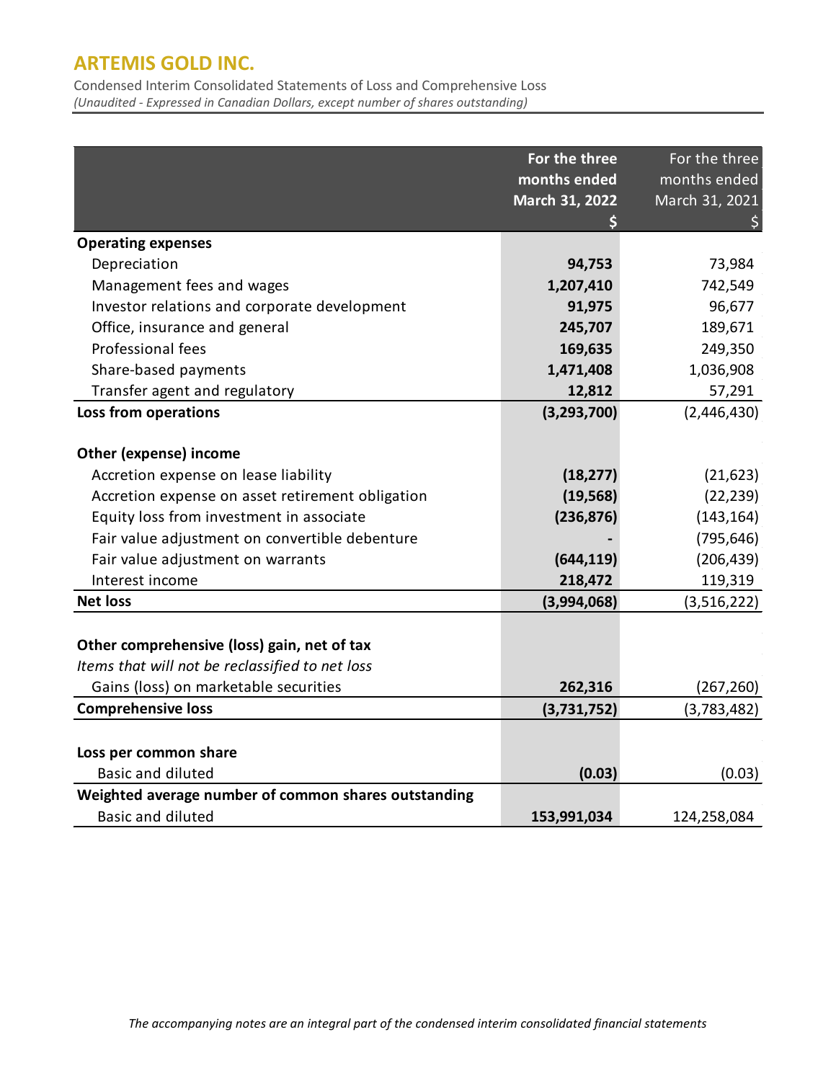Condensed Interim Consolidated Statements of Loss and Comprehensive Loss *(Unaudited - Expressed in Canadian Dollars, except number of shares outstanding)*

|                                                      | For the three  | For the three  |
|------------------------------------------------------|----------------|----------------|
|                                                      | months ended   | months ended   |
|                                                      | March 31, 2022 | March 31, 2021 |
|                                                      |                |                |
| <b>Operating expenses</b>                            |                |                |
| Depreciation                                         | 94,753         | 73,984         |
| Management fees and wages                            | 1,207,410      | 742,549        |
| Investor relations and corporate development         | 91,975         | 96,677         |
| Office, insurance and general                        | 245,707        | 189,671        |
| Professional fees                                    | 169,635        | 249,350        |
| Share-based payments                                 | 1,471,408      | 1,036,908      |
| Transfer agent and regulatory                        | 12,812         | 57,291         |
| Loss from operations                                 | (3, 293, 700)  | (2,446,430)    |
|                                                      |                |                |
| <b>Other (expense) income</b>                        |                |                |
| Accretion expense on lease liability                 | (18, 277)      | (21, 623)      |
| Accretion expense on asset retirement obligation     | (19, 568)      | (22, 239)      |
| Equity loss from investment in associate             | (236, 876)     | (143, 164)     |
| Fair value adjustment on convertible debenture       |                | (795, 646)     |
| Fair value adjustment on warrants                    | (644, 119)     | (206, 439)     |
| Interest income                                      | 218,472        | 119,319        |
| <b>Net loss</b>                                      | (3,994,068)    | (3,516,222)    |
|                                                      |                |                |
| Other comprehensive (loss) gain, net of tax          |                |                |
| Items that will not be reclassified to net loss      |                |                |
| Gains (loss) on marketable securities                | 262,316        | (267, 260)     |
| <b>Comprehensive loss</b>                            | (3,731,752)    | (3,783,482)    |
|                                                      |                |                |
| Loss per common share                                |                |                |
| <b>Basic and diluted</b>                             | (0.03)         | (0.03)         |
| Weighted average number of common shares outstanding |                |                |
| <b>Basic and diluted</b>                             | 153,991,034    | 124,258,084    |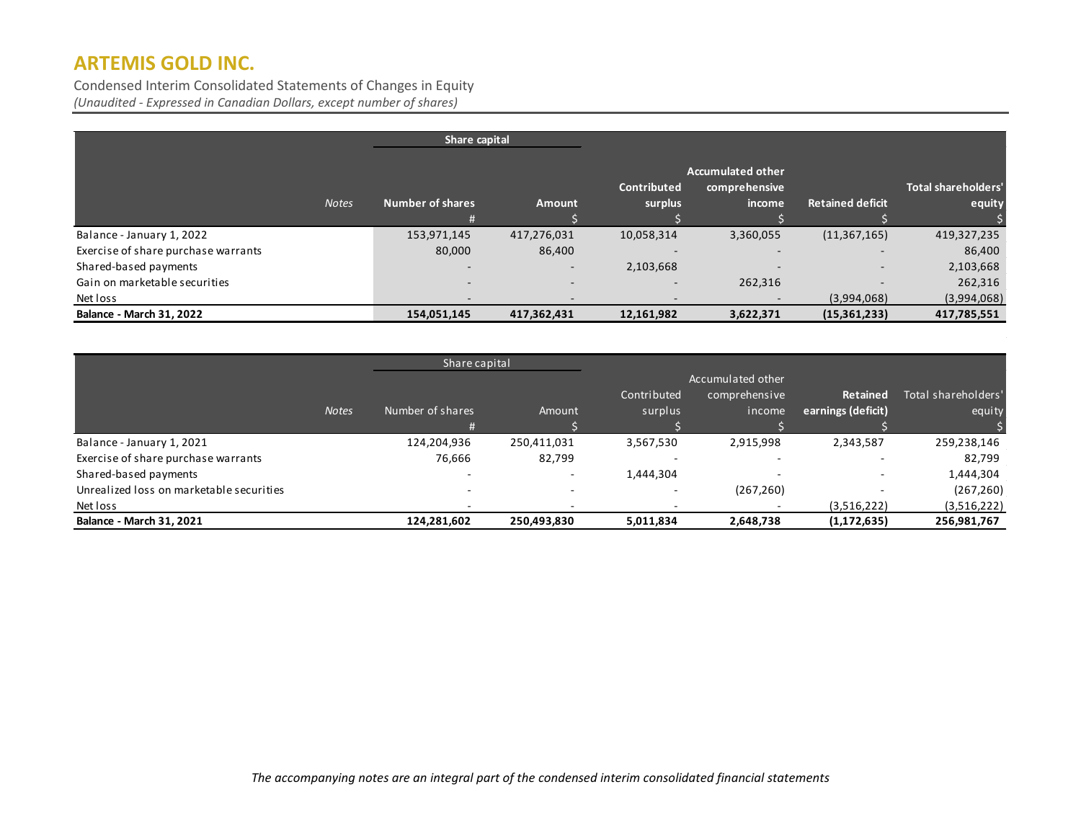Condensed Interim Consolidated Statements of Changes in Equity *(Unaudited - Expressed in Canadian Dollars, except number of shares)*

| Share capital                       |              |                          |                          |                          |                          |                         |                            |
|-------------------------------------|--------------|--------------------------|--------------------------|--------------------------|--------------------------|-------------------------|----------------------------|
|                                     |              |                          |                          |                          | <b>Accumulated other</b> |                         |                            |
|                                     |              |                          |                          | <b>Contributed</b>       | comprehensive            |                         | <b>Total shareholders'</b> |
|                                     | <b>Notes</b> | <b>Number of shares</b>  | Amount                   | surplus                  | income                   | <b>Retained deficit</b> | equity                     |
|                                     |              | Ħ                        |                          |                          |                          |                         |                            |
| Balance - January 1, 2022           |              | 153,971,145              | 417,276,031              | 10,058,314               | 3,360,055                | (11, 367, 165)          | 419,327,235                |
| Exercise of share purchase warrants |              | 80,000                   | 86,400                   |                          |                          |                         | 86,400                     |
| Shared-based payments               |              | $\sim$                   | $\overline{\phantom{a}}$ | 2,103,668                |                          |                         | 2,103,668                  |
| Gain on marketable securities       |              | $\overline{\phantom{0}}$ | $\overline{\phantom{a}}$ | $\sim$                   | 262,316                  |                         | 262,316                    |
| Net loss                            |              |                          |                          | $\overline{\phantom{a}}$ |                          | (3,994,068)             | (3,994,068)                |
| <b>Balance - March 31, 2022</b>     |              | 154,051,145              | 417,362,431              | 12,161,982               | 3,622,371                | (15,361,233)            | 417,785,551                |

|                                          |              | Share capital    |             |             |                   |                    |                     |
|------------------------------------------|--------------|------------------|-------------|-------------|-------------------|--------------------|---------------------|
|                                          |              |                  |             |             | Accumulated other |                    |                     |
|                                          |              |                  |             | Contributed | comprehensive     | Retained           | Total shareholders' |
|                                          | <b>Notes</b> | Number of shares | Amount      | surplus     | income            | earnings (deficit) | equity              |
|                                          |              |                  |             |             |                   |                    |                     |
| Balance - January 1, 2021                |              | 124,204,936      | 250,411,031 | 3,567,530   | 2,915,998         | 2,343,587          | 259,238,146         |
| Exercise of share purchase warrants      |              | 76,666           | 82,799      |             |                   |                    | 82,799              |
| Shared-based payments                    |              |                  | -           | 1,444,304   |                   |                    | 1,444,304           |
| Unrealized loss on marketable securities |              |                  |             |             | (267, 260)        |                    | (267, 260)          |
| Net loss                                 |              |                  |             |             |                   | (3,516,222)        | (3,516,222)         |
| <b>Balance - March 31, 2021</b>          |              | 124,281,602      | 250,493,830 | 5,011,834   | 2,648,738         | (1, 172, 635)      | 256,981,767         |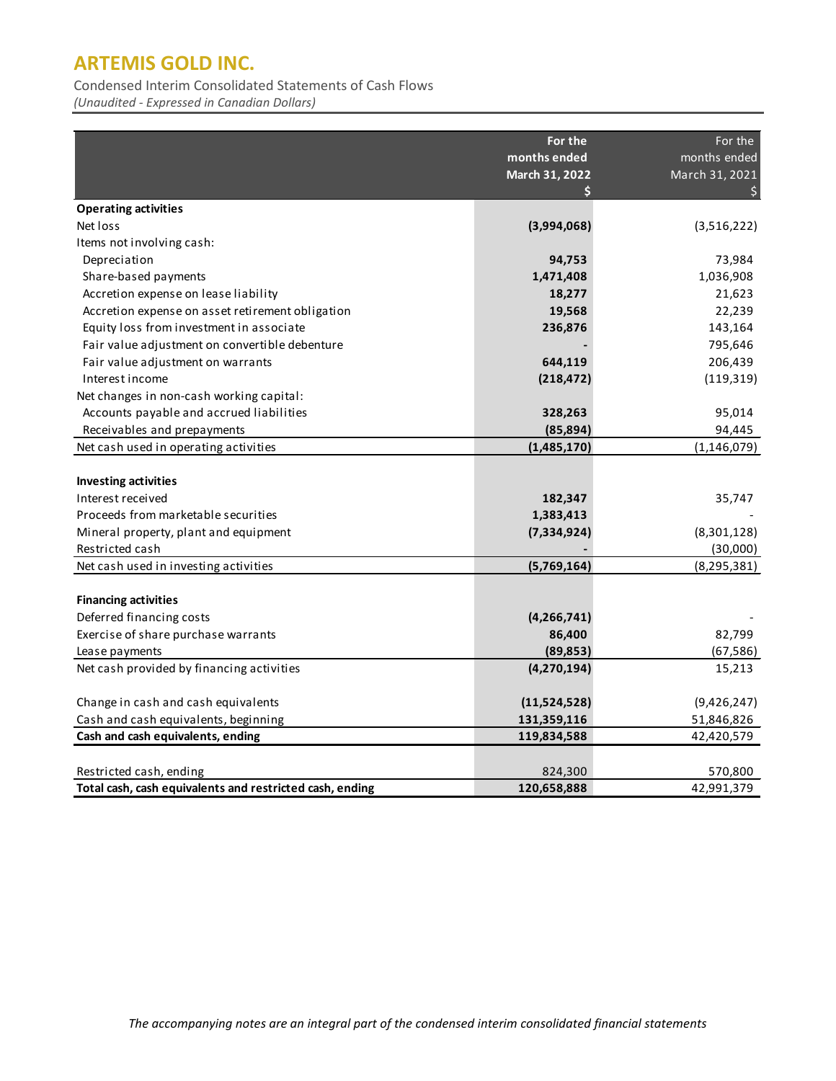Condensed Interim Consolidated Statements of Cash Flows

*(Unaudited - Expressed in Canadian Dollars)*

|                                                                                                                                  | For the<br>months ended<br>March 31, 2022 | For the<br>months ended<br>March 31, 2021 |
|----------------------------------------------------------------------------------------------------------------------------------|-------------------------------------------|-------------------------------------------|
| <b>Operating activities</b>                                                                                                      |                                           |                                           |
| Net loss                                                                                                                         | (3,994,068)                               | (3,516,222)                               |
| Items not involving cash:                                                                                                        |                                           |                                           |
| Depreciation                                                                                                                     | 94,753                                    | 73,984                                    |
| Share-based payments                                                                                                             | 1,471,408                                 | 1,036,908                                 |
| Accretion expense on lease liability                                                                                             | 18,277                                    | 21,623                                    |
| Accretion expense on asset retirement obligation                                                                                 | 19,568                                    | 22,239                                    |
| Equity loss from investment in associate                                                                                         | 236,876                                   | 143,164                                   |
| Fair value adjustment on convertible debenture                                                                                   |                                           | 795,646                                   |
| Fair value adjustment on warrants                                                                                                | 644,119                                   | 206,439                                   |
| Interest income                                                                                                                  | (218, 472)                                | (119, 319)                                |
| Net changes in non-cash working capital:                                                                                         |                                           |                                           |
| Accounts payable and accrued liabilities                                                                                         | 328,263                                   | 95,014                                    |
| Receivables and prepayments                                                                                                      | (85, 894)                                 | 94,445                                    |
| Net cash used in operating activities                                                                                            | (1,485,170)                               | (1, 146, 079)                             |
| <b>Investing activities</b><br>Interest received<br>Proceeds from marketable securities<br>Mineral property, plant and equipment | 182,347<br>1,383,413<br>(7, 334, 924)     | 35,747<br>(8,301,128)                     |
| Restricted cash                                                                                                                  |                                           | (30,000)                                  |
| Net cash used in investing activities                                                                                            | (5,769,164)                               | (8, 295, 381)                             |
| <b>Financing activities</b><br>Deferred financing costs                                                                          | (4, 266, 741)                             |                                           |
| Exercise of share purchase warrants                                                                                              | 86,400                                    | 82,799                                    |
| Lease payments                                                                                                                   | (89, 853)                                 | (67, 586)                                 |
| Net cash provided by financing activities                                                                                        | (4, 270, 194)                             | 15,213                                    |
| Change in cash and cash equivalents                                                                                              | (11,524,528)                              | (9,426,247)                               |
| Cash and cash equivalents, beginning                                                                                             | 131,359,116                               | 51,846,826                                |
| Cash and cash equivalents, ending                                                                                                | 119,834,588                               | 42,420,579                                |
| Restricted cash, ending<br>Total cash, cash equivalents and restricted cash, ending                                              | 824,300<br>120,658,888                    | 570,800<br>42,991,379                     |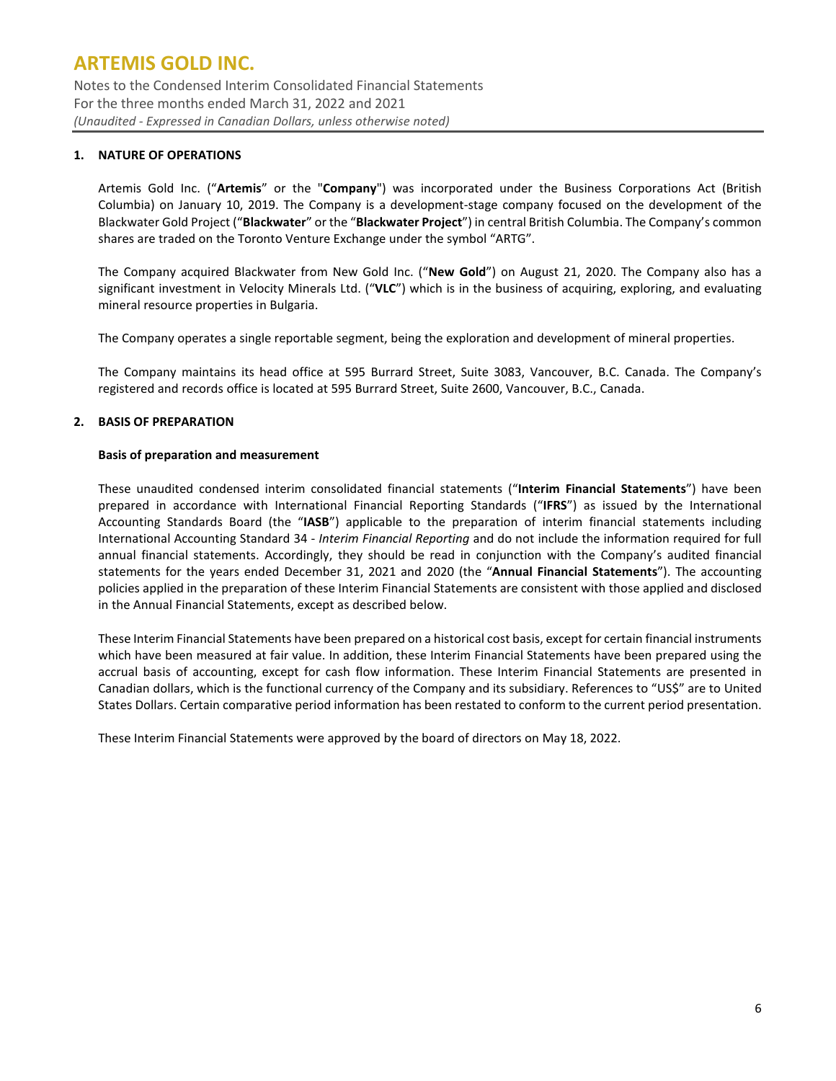Notes to the Condensed Interim Consolidated Financial Statements For the three months ended March 31, 2022 and 2021 *(Unaudited - Expressed in Canadian Dollars, unless otherwise noted)*

### **1. NATURE OF OPERATIONS**

Artemis Gold Inc. ("**Artemis**" or the "**Company**") was incorporated under the Business Corporations Act (British Columbia) on January 10, 2019. The Company is a development-stage company focused on the development of the Blackwater Gold Project ("**Blackwater**" or the "**Blackwater Project**") in central British Columbia. The Company's common shares are traded on the Toronto Venture Exchange under the symbol "ARTG".

The Company acquired Blackwater from New Gold Inc. ("**New Gold**") on August 21, 2020. The Company also has a significant investment in Velocity Minerals Ltd. ("**VLC**") which is in the business of acquiring, exploring, and evaluating mineral resource properties in Bulgaria.

The Company operates a single reportable segment, being the exploration and development of mineral properties.

The Company maintains its head office at 595 Burrard Street, Suite 3083, Vancouver, B.C. Canada. The Company's registered and records office is located at 595 Burrard Street, Suite 2600, Vancouver, B.C., Canada.

### **2. BASIS OF PREPARATION**

#### **Basis of preparation and measurement**

These unaudited condensed interim consolidated financial statements ("**Interim Financial Statements**") have been prepared in accordance with International Financial Reporting Standards ("**IFRS**") as issued by the International Accounting Standards Board (the "**IASB**") applicable to the preparation of interim financial statements including International Accounting Standard 34 - *Interim Financial Reporting* and do not include the information required for full annual financial statements. Accordingly, they should be read in conjunction with the Company's audited financial statements for the years ended December 31, 2021 and 2020 (the "**Annual Financial Statements**"). The accounting policies applied in the preparation of these Interim Financial Statements are consistent with those applied and disclosed in the Annual Financial Statements, except as described below.

These Interim Financial Statements have been prepared on a historical cost basis, except for certain financial instruments which have been measured at fair value. In addition, these Interim Financial Statements have been prepared using the accrual basis of accounting, except for cash flow information. These Interim Financial Statements are presented in Canadian dollars, which is the functional currency of the Company and its subsidiary. References to "US\$" are to United States Dollars. Certain comparative period information has been restated to conform to the current period presentation.

These Interim Financial Statements were approved by the board of directors on May 18, 2022.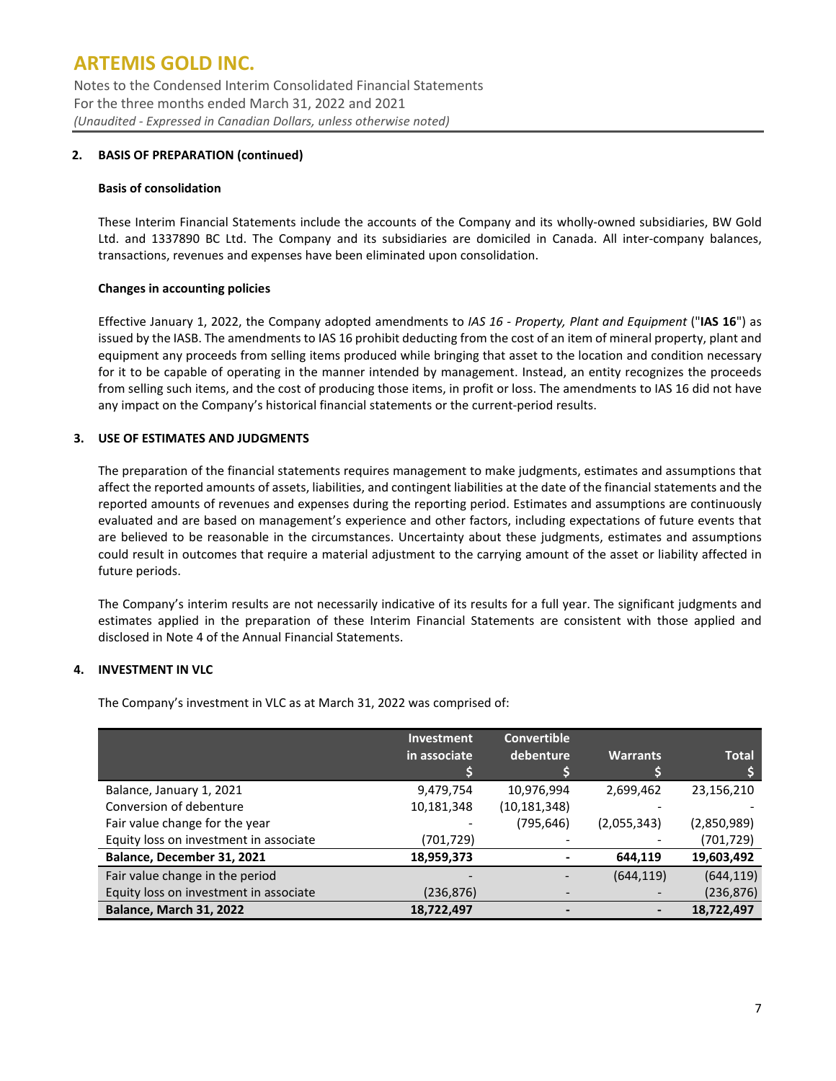Notes to the Condensed Interim Consolidated Financial Statements For the three months ended March 31, 2022 and 2021 *(Unaudited - Expressed in Canadian Dollars, unless otherwise noted)*

### **2. BASIS OF PREPARATION (continued)**

#### **Basis of consolidation**

These Interim Financial Statements include the accounts of the Company and its wholly-owned subsidiaries, BW Gold Ltd. and 1337890 BC Ltd. The Company and its subsidiaries are domiciled in Canada. All inter-company balances, transactions, revenues and expenses have been eliminated upon consolidation.

### **Changes in accounting policies**

Effective January 1, 2022, the Company adopted amendments to *IAS 16 - Property, Plant and Equipment* ("**IAS 16**") as issued by the IASB. The amendments to IAS 16 prohibit deducting from the cost of an item of mineral property, plant and equipment any proceeds from selling items produced while bringing that asset to the location and condition necessary for it to be capable of operating in the manner intended by management. Instead, an entity recognizes the proceeds from selling such items, and the cost of producing those items, in profit or loss. The amendments to IAS 16 did not have any impact on the Company's historical financial statements or the current-period results.

## **3. USE OF ESTIMATES AND JUDGMENTS**

The preparation of the financial statements requires management to make judgments, estimates and assumptions that affect the reported amounts of assets, liabilities, and contingent liabilities at the date of the financial statements and the reported amounts of revenues and expenses during the reporting period. Estimates and assumptions are continuously evaluated and are based on management's experience and other factors, including expectations of future events that are believed to be reasonable in the circumstances. Uncertainty about these judgments, estimates and assumptions could result in outcomes that require a material adjustment to the carrying amount of the asset or liability affected in future periods.

The Company's interim results are not necessarily indicative of its results for a full year. The significant judgments and estimates applied in the preparation of these Interim Financial Statements are consistent with those applied and disclosed in Note 4 of the Annual Financial Statements.

### **4. INVESTMENT IN VLC**

The Company's investment in VLC as at March 31, 2022 was comprised of:

|                                        | <b>Investment</b> | <b>Convertible</b> |                 |              |
|----------------------------------------|-------------------|--------------------|-----------------|--------------|
|                                        | in associate      | debenture          | <b>Warrants</b> | <b>Total</b> |
|                                        |                   |                    |                 |              |
| Balance, January 1, 2021               | 9,479,754         | 10,976,994         | 2,699,462       | 23,156,210   |
| Conversion of debenture                | 10,181,348        | (10,181,348)       |                 |              |
| Fair value change for the year         |                   | (795, 646)         | (2,055,343)     | (2,850,989)  |
| Equity loss on investment in associate | (701,729)         |                    |                 | (701, 729)   |
| Balance, December 31, 2021             | 18,959,373        |                    | 644,119         | 19,603,492   |
| Fair value change in the period        |                   |                    | (644, 119)      | (644, 119)   |
| Equity loss on investment in associate | (236, 876)        |                    |                 | (236, 876)   |
| <b>Balance, March 31, 2022</b>         | 18,722,497        |                    |                 | 18,722,497   |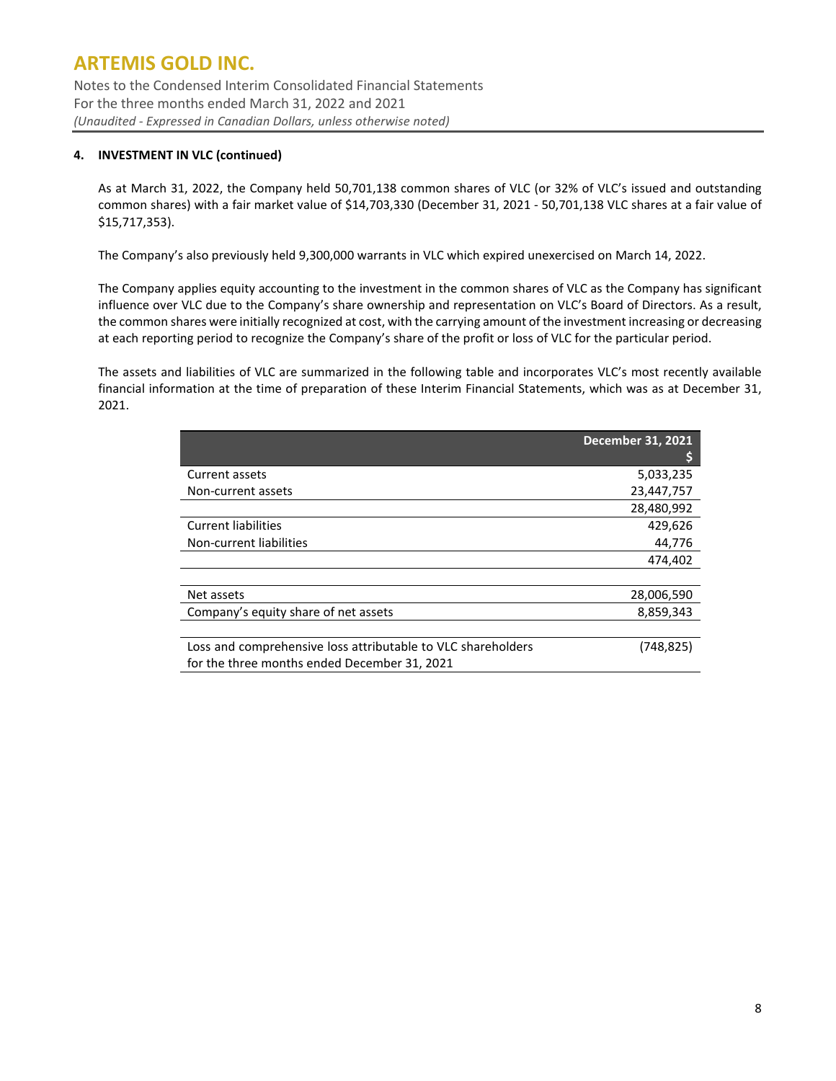Notes to the Condensed Interim Consolidated Financial Statements For the three months ended March 31, 2022 and 2021 *(Unaudited - Expressed in Canadian Dollars, unless otherwise noted)*

## **4. INVESTMENT IN VLC (continued)**

As at March 31, 2022, the Company held 50,701,138 common shares of VLC (or 32% of VLC's issued and outstanding common shares) with a fair market value of \$14,703,330 (December 31, 2021 - 50,701,138 VLC shares at a fair value of \$15,717,353).

The Company's also previously held 9,300,000 warrants in VLC which expired unexercised on March 14, 2022.

The Company applies equity accounting to the investment in the common shares of VLC as the Company has significant influence over VLC due to the Company's share ownership and representation on VLC's Board of Directors. As a result, the common shares were initially recognized at cost, with the carrying amount of the investment increasing or decreasing at each reporting period to recognize the Company's share of the profit or loss of VLC for the particular period.

The assets and liabilities of VLC are summarized in the following table and incorporates VLC's most recently available financial information at the time of preparation of these Interim Financial Statements, which was as at December 31, 2021.

|                                                              | <b>December 31, 2021</b> |
|--------------------------------------------------------------|--------------------------|
|                                                              |                          |
| Current assets                                               | 5,033,235                |
| Non-current assets                                           | 23,447,757               |
|                                                              | 28,480,992               |
| <b>Current liabilities</b>                                   | 429,626                  |
| Non-current liabilities                                      | 44.776                   |
|                                                              | 474,402                  |
|                                                              |                          |
| Net assets                                                   | 28,006,590               |
| Company's equity share of net assets                         | 8,859,343                |
|                                                              |                          |
| Loss and comprehensive loss attributable to VLC shareholders | (748,825)                |
| for the three months ended December 31, 2021                 |                          |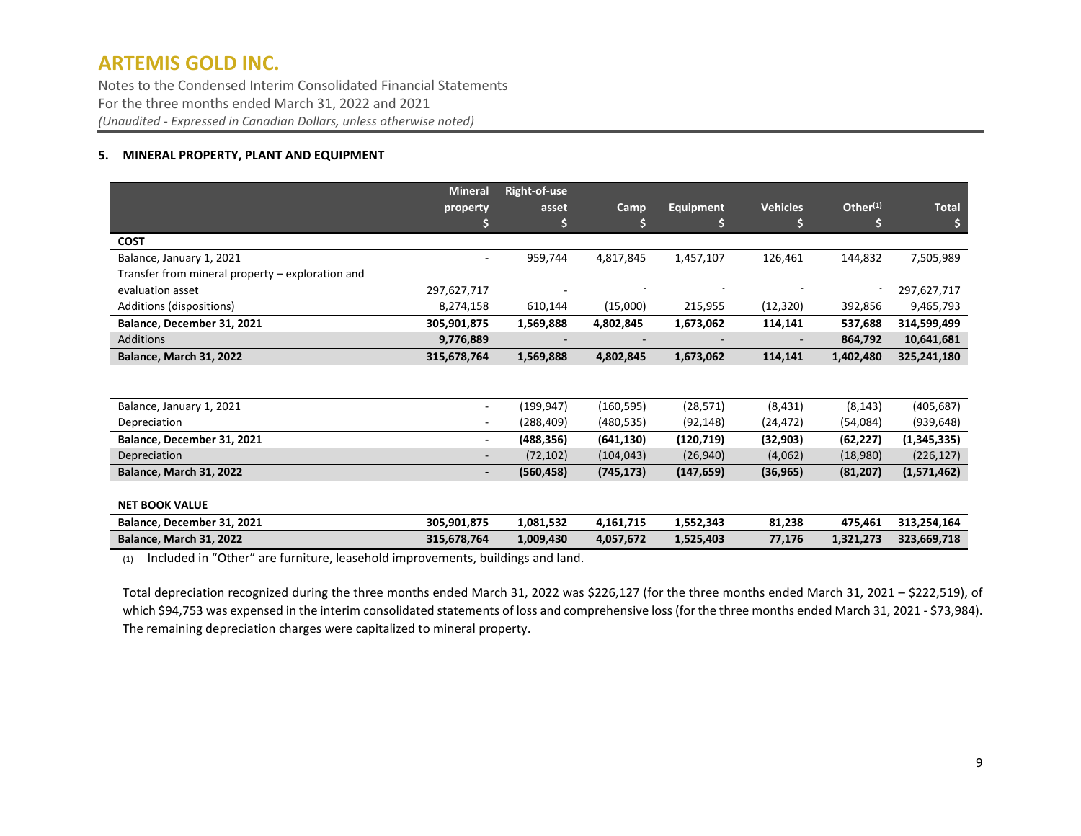Notes to the Condensed Interim Consolidated Financial Statements For the three months ended March 31, 2022 and 2021 *(Unaudited - Expressed in Canadian Dollars, unless otherwise noted)*

### **5. MINERAL PROPERTY, PLANT AND EQUIPMENT**

|                                                                                 | Mineral        | <b>Right-of-use</b> |            |                  |                 |             |               |
|---------------------------------------------------------------------------------|----------------|---------------------|------------|------------------|-----------------|-------------|---------------|
|                                                                                 | property       | asset               | Camp       | <b>Equipment</b> | <b>Vehicles</b> | Other $(1)$ | <b>Total</b>  |
|                                                                                 |                | \$                  | S          | S                | \$              | S           |               |
| <b>COST</b>                                                                     |                |                     |            |                  |                 |             |               |
| Balance, January 1, 2021                                                        |                | 959,744             | 4,817,845  | 1,457,107        | 126,461         | 144,832     | 7,505,989     |
| Transfer from mineral property – exploration and                                |                |                     |            |                  |                 |             |               |
| evaluation asset                                                                | 297,627,717    |                     |            |                  |                 |             | 297,627,717   |
| Additions (dispositions)                                                        | 8,274,158      | 610,144             | (15,000)   | 215,955          | (12, 320)       | 392,856     | 9,465,793     |
| Balance, December 31, 2021                                                      | 305,901,875    | 1,569,888           | 4,802,845  | 1,673,062        | 114,141         | 537,688     | 314,599,499   |
| <b>Additions</b>                                                                | 9,776,889      |                     |            |                  |                 | 864,792     | 10,641,681    |
| <b>Balance, March 31, 2022</b>                                                  | 315,678,764    | 1,569,888           | 4,802,845  | 1,673,062        | 114,141         | 1,402,480   | 325,241,180   |
|                                                                                 |                |                     |            |                  |                 |             |               |
| Balance, January 1, 2021                                                        | $\sim$         | (199, 947)          | (160, 595) | (28, 571)        | (8,431)         | (8, 143)    | (405,687)     |
| Depreciation                                                                    |                | (288,409)           | (480, 535) | (92, 148)        | (24, 472)       | (54,084)    | (939, 648)    |
| Balance, December 31, 2021                                                      | $\blacksquare$ | (488, 356)          | (641, 130) | (120, 719)       | (32, 903)       | (62, 227)   | (1, 345, 335) |
| Depreciation                                                                    |                | (72, 102)           | (104, 043) | (26, 940)        | (4,062)         | (18,980)    | (226, 127)    |
| <b>Balance, March 31, 2022</b>                                                  | $\blacksquare$ | (560, 458)          | (745, 173) | (147, 659)       | (36, 965)       | (81, 207)   | (1,571,462)   |
|                                                                                 |                |                     |            |                  |                 |             |               |
| <b>NET BOOK VALUE</b>                                                           |                |                     |            |                  |                 |             |               |
| Balance, December 31, 2021                                                      | 305,901,875    | 1,081,532           | 4,161,715  | 1,552,343        | 81,238          | 475,461     | 313,254,164   |
| <b>Balance, March 31, 2022</b>                                                  | 315,678,764    | 1,009,430           | 4,057,672  | 1,525,403        | 77,176          | 1,321,273   | 323,669,718   |
| (4) Included in "Other" are furniture leasehold improvements buildings and land |                |                     |            |                  |                 |             |               |

(1) Included in "Other" are furniture, leasehold improvements, buildings and land.

Total depreciation recognized during the three months ended March 31, 2022 was \$226,127 (for the three months ended March 31, 2021 – \$222,519), of which \$94,753 was expensed in the interim consolidated statements of loss and comprehensive loss (for the three months ended March 31, 2021 - \$73,984). The remaining depreciation charges were capitalized to mineral property.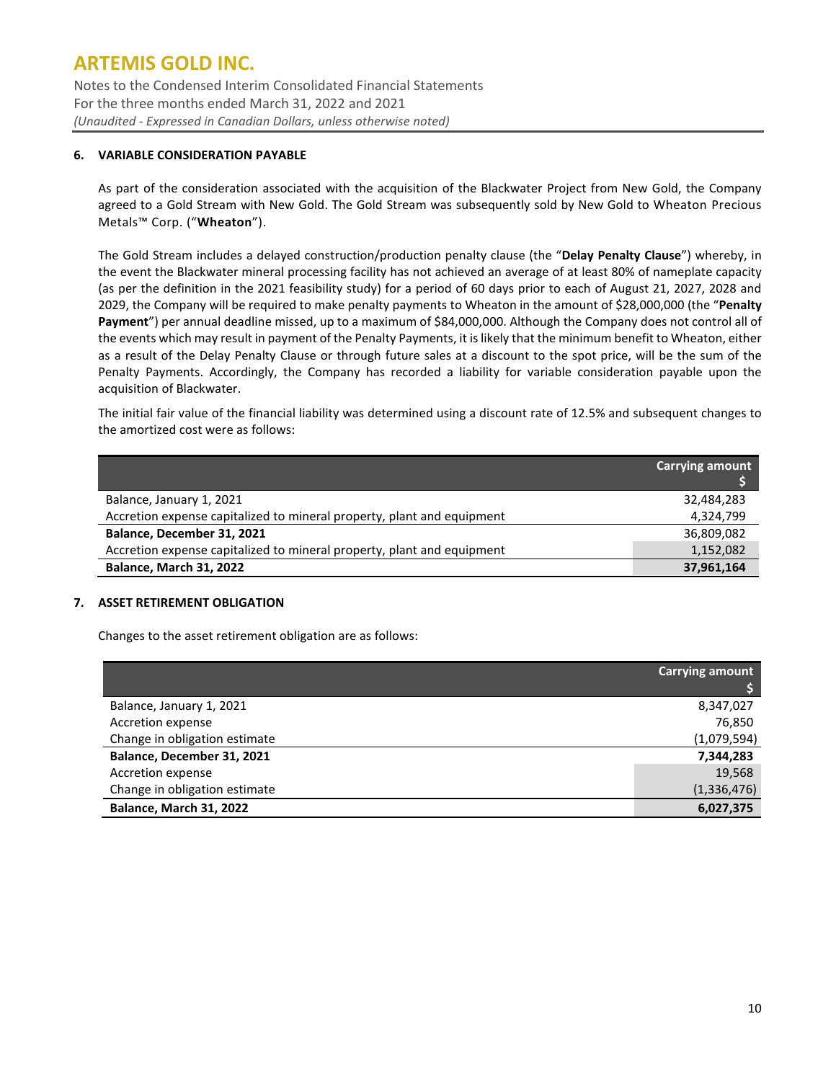Notes to the Condensed Interim Consolidated Financial Statements For the three months ended March 31, 2022 and 2021 *(Unaudited - Expressed in Canadian Dollars, unless otherwise noted)*

### **6. VARIABLE CONSIDERATION PAYABLE**

As part of the consideration associated with the acquisition of the Blackwater Project from New Gold, the Company agreed to a Gold Stream with New Gold. The Gold Stream was subsequently sold by New Gold to Wheaton Precious Metals™ Corp. ("**Wheaton**").

The Gold Stream includes a delayed construction/production penalty clause (the "**Delay Penalty Clause**") whereby, in the event the Blackwater mineral processing facility has not achieved an average of at least 80% of nameplate capacity (as per the definition in the 2021 feasibility study) for a period of 60 days prior to each of August 21, 2027, 2028 and 2029, the Company will be required to make penalty payments to Wheaton in the amount of \$28,000,000 (the "**Penalty Payment**") per annual deadline missed, up to a maximum of \$84,000,000. Although the Company does not control all of the events which may result in payment of the Penalty Payments, it is likely that the minimum benefit to Wheaton, either as a result of the Delay Penalty Clause or through future sales at a discount to the spot price, will be the sum of the Penalty Payments. Accordingly, the Company has recorded a liability for variable consideration payable upon the acquisition of Blackwater.

The initial fair value of the financial liability was determined using a discount rate of 12.5% and subsequent changes to the amortized cost were as follows:

|                                                                        | <b>Carrying amount</b> |
|------------------------------------------------------------------------|------------------------|
| Balance, January 1, 2021                                               | 32,484,283             |
| Accretion expense capitalized to mineral property, plant and equipment | 4,324,799              |
| Balance, December 31, 2021                                             | 36,809,082             |
| Accretion expense capitalized to mineral property, plant and equipment | 1,152,082              |
| Balance, March 31, 2022                                                | 37,961,164             |

## **7. ASSET RETIREMENT OBLIGATION**

Changes to the asset retirement obligation are as follows:

|                                | <b>Carrying amount</b> |
|--------------------------------|------------------------|
|                                |                        |
| Balance, January 1, 2021       | 8,347,027              |
| Accretion expense              | 76,850                 |
| Change in obligation estimate  | (1,079,594)            |
| Balance, December 31, 2021     | 7,344,283              |
| Accretion expense              | 19,568                 |
| Change in obligation estimate  | (1, 336, 476)          |
| <b>Balance, March 31, 2022</b> | 6,027,375              |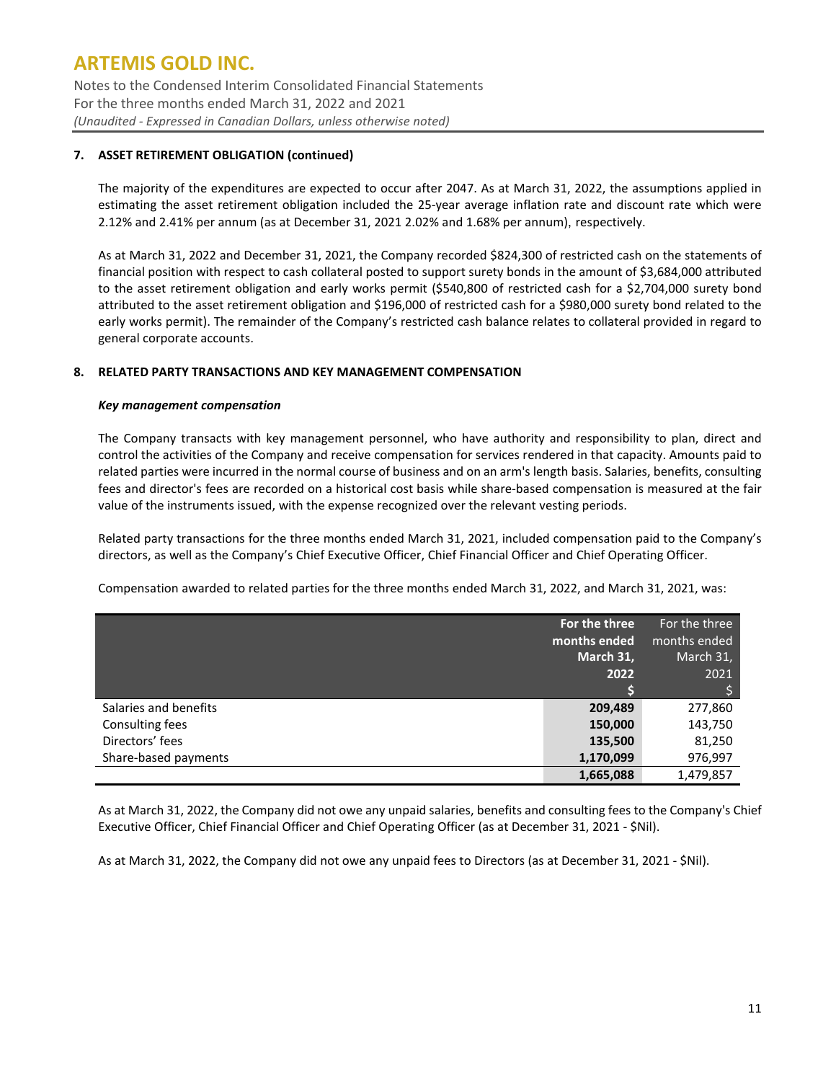Notes to the Condensed Interim Consolidated Financial Statements For the three months ended March 31, 2022 and 2021 *(Unaudited - Expressed in Canadian Dollars, unless otherwise noted)*

## **7. ASSET RETIREMENT OBLIGATION (continued)**

The majority of the expenditures are expected to occur after 2047. As at March 31, 2022, the assumptions applied in estimating the asset retirement obligation included the 25-year average inflation rate and discount rate which were 2.12% and 2.41% per annum (as at December 31, 2021 2.02% and 1.68% per annum), respectively.

As at March 31, 2022 and December 31, 2021, the Company recorded \$824,300 of restricted cash on the statements of financial position with respect to cash collateral posted to support surety bonds in the amount of \$3,684,000 attributed to the asset retirement obligation and early works permit (\$540,800 of restricted cash for a \$2,704,000 surety bond attributed to the asset retirement obligation and \$196,000 of restricted cash for a \$980,000 surety bond related to the early works permit). The remainder of the Company's restricted cash balance relates to collateral provided in regard to general corporate accounts.

### **8. RELATED PARTY TRANSACTIONS AND KEY MANAGEMENT COMPENSATION**

### *Key management compensation*

The Company transacts with key management personnel, who have authority and responsibility to plan, direct and control the activities of the Company and receive compensation for services rendered in that capacity. Amounts paid to related parties were incurred in the normal course of business and on an arm's length basis. Salaries, benefits, consulting fees and director's fees are recorded on a historical cost basis while share-based compensation is measured at the fair value of the instruments issued, with the expense recognized over the relevant vesting periods.

Related party transactions for the three months ended March 31, 2021, included compensation paid to the Company's directors, as well as the Company's Chief Executive Officer, Chief Financial Officer and Chief Operating Officer.

Compensation awarded to related parties for the three months ended March 31, 2022, and March 31, 2021, was:

|                       | For the three<br>months ended<br>March 31, | For the three<br>months ended<br>March 31, |
|-----------------------|--------------------------------------------|--------------------------------------------|
|                       | 2022                                       | 2021                                       |
|                       |                                            |                                            |
| Salaries and benefits | 209,489                                    | 277,860                                    |
| Consulting fees       | 150,000                                    | 143,750                                    |
| Directors' fees       | 135,500                                    | 81,250                                     |
| Share-based payments  | 1,170,099                                  | 976,997                                    |
|                       | 1,665,088                                  | 1,479,857                                  |

As at March 31, 2022, the Company did not owe any unpaid salaries, benefits and consulting fees to the Company's Chief Executive Officer, Chief Financial Officer and Chief Operating Officer (as at December 31, 2021 - \$Nil).

As at March 31, 2022, the Company did not owe any unpaid fees to Directors (as at December 31, 2021 - \$Nil).